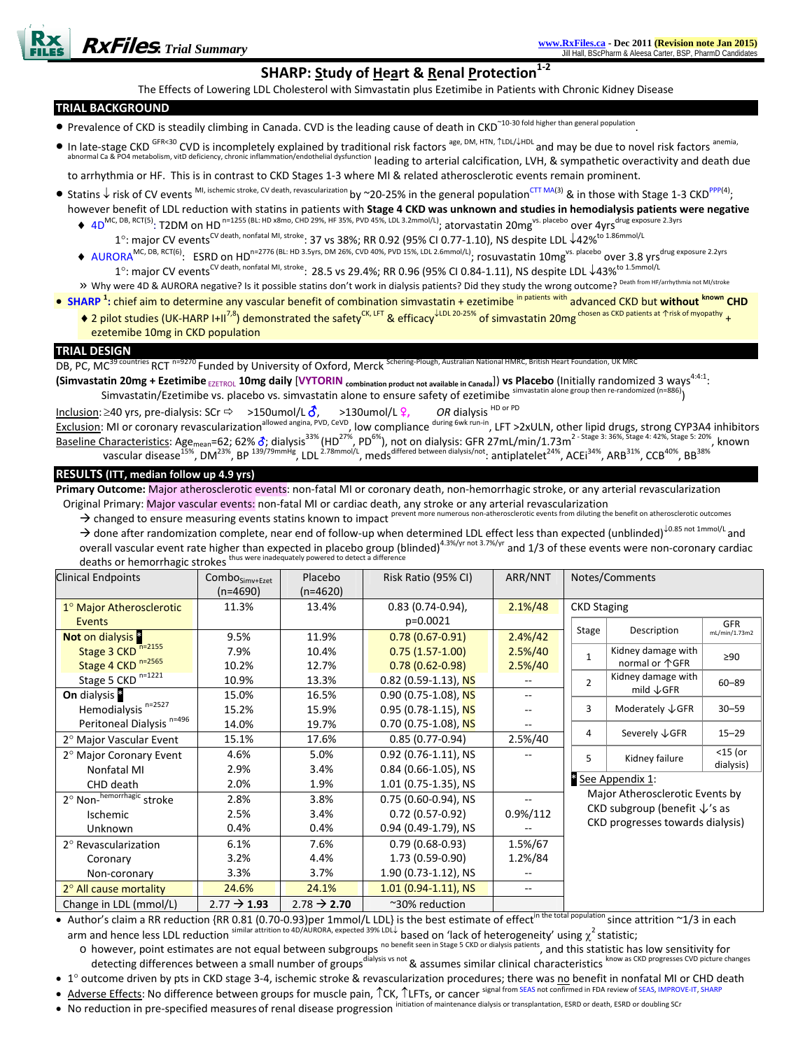# **SHARP: Study of Heart & Renal Protection1‐<sup>2</sup>**

The Effects of Lowering LDL Cholesterol with Simvastatin plus Ezetimibe in Patients with Chronic Kidney Disease

## **TRIAL BACKGROUND**

- Prevalence of CKD is steadily climbing in Canada. CVD is the leading cause of death in CKD<sup>~10-30 fold higher than general population</sup>
- In late-stage CKD <sup>GFR<30</sup> CVD is incompletely explained by traditional risk factors <sup>age, DM, HTN, ↑LDL/↓HDL</sup> and may be due to novel risk factors <sup>anemia,</sup> III Idte-Stage CND COV IS INCOTENCIST, CONCORDINATION IN SECTED CALCRETIAL CALCRETIAL CALCRETIAL COMPOSITION, LO<br>abnormal Ca & P04 metabolism, vitD deficiency, chronic inflammation/endothelial dysfunction leading to arteri

to arrhythmia or HF. This is in contrast to CKD Stages 1‐3 where MI & related atherosclerotic events remain prominent.

- Statins ↓ risk of CV events MI, ischemic stroke, CV death, revascularization by ~20-25% in the general population<sup>CTT MA(3)</sup> & in those with Stage 1-3 CKD<sup>PPP(4)</sup>; however benefit of LDL reduction with statins in patients with **Stage 4 CKD was unknown and studies in hemodialysis patients were negative**
	- ♦ 4D<sup>MC, DB, RCT(5)</sup>: T2DM on HD<sup>n=1255</sup> (BL: HD x8mo, CHD 29%, HF 35%, PVD 45%, LDL 3.2mmol/L); atorvastatin 20mg<sup>vs. placebo</sup> over 4yrs<sup>drug exposure 2.3yrs</sup>
		- 1°: major CV events<sup>CV death, nonfatal MI, stroke</sup>: 37 vs 38%; RR 0.92 (95% CI 0.77-1.10), NS despite LDL ↓42%<sup>to 1.86mmol/L</sup>
	- ◆ AURORA<sup>MC, DB, RCT(6)</sup>: ESRD on HD<sup>n=2776</sup> (BL: HD 3.5yrs, DM 26%, CVD 40%, PVD 15%, LDL 2.6mmol/L); rosuvastatin 10mg<sup>vs. placebo</sup> over 3.8 yrs<sup>drug exposure 2.2yrs</sub></sup> 1°: major CV events<sup>CV death, nonfatal MI, stroke</sup>: 28.5 vs 29.4%; RR 0.96 (95% CI 0.84-1.11), NS despite LDL ↓43%<sup>to 1.5mmol/L</sup>
	- » Why were 4D & AURORA negative? Is it possible statins don't work in dialysis patients? Did they study the wrong outcome? Death from HF/arrhythmia not MI/stroke
- **SHARP <sup>1</sup> :** chief aim to determine any vascular benefit of combination simvastatin + ezetimibe in patients with advanced CKD but **without known CHD** ♦ 2 pilot studies (UK-HARP I+II<sup>7,8</sup>) demonstrated the safety<sup>CK, LFT</sup> & efficacy<sup>↓LDL 20-25%</sup> of simvastatin 20mg chosen as CKD patients at ↑risk of myopathy <sub>+</sub>
	- ezetemibe 10mg in CKD population

## **TRIAL DESIGN**

DB, PC, MC<sup>39 countries</sup> RCT <sup>n=9270</sup> Funded by University of Oxford, Merck Schering-Plough, Australian National HMRC, British Heart Foundation, UK M

(Simvastatin 20mg + Ezetimibe  $_{\texttt{EZETROL}}$  10mg daily [VYTORIN combination product not available in Canada]) vs Placebo (Initially randomized 3 ways<sup>4:4:1</sup>: Simvastatin/Ezetimibe vs. placebo vs. simvastatin alone to ensure safety of ezetimibe <sup>simvastatin alone group then re-randomized (n=886)</sup>)

Inclusion: ≥40 yrs, pre‐dialysis: SCr Ö >150umol/L k, >130umol/L l**,** *OR* dialysis HD or PD Exclusion: MI or coronary revascularization<sup>allowed angina, PVD, CeVD</sup>, low compliance <sup>during 6wk run-in</sup>, LFT >2xULN, other lipid drugs, strong CYP3A4 inhibitors Baseline Characteristics: Age<sub>mean</sub>=62; 62%  $\delta$ ; dialysis<sup>33%</sup> (HD<sup>27%</sup>, PD<sup>6%</sup>), not on dialysis: GFR 27mL/min/1.73m<sup>2 - Stage 3: 36%, Stage 4: 42%, Stage 5: 20%, known</sup> vascular disease $^{15\%}$ , DM $^{23\%}$ , BP  $^{139/79mmHg}$ , LDL $^{2.78mmol/L}$ , meds $^{differential}$  antiplatelet  $^{24\%}$ , ACEi $^{24\%}$ , ARB $^{31\%}$ , CCB $^{40\%}$ , BB $^{38\%}$ 

## **RESULTS (ITT, median follow up 4.9 yrs)**

**Primary Outcome:** Major atherosclerotic events: non‐fatal MI or coronary death, non‐hemorrhagic stroke, or any arterial revascularization

Original Primary: Major vascular events: non-fatal MI or cardiac death, any stroke or any arterial revascularization<br>A shanged to answer measuring avants tating lynews to inspect prevent more numerous non-atherosclerotic e  $\rightarrow$  changed to ensure measuring events statins known to impact <sup>prevent more nume</sup>

→ done after randomization complete, near end of follow-up when determined LDL effect less than expected (unblinded)<sup>↓0.85 not 1mmol/L</sup> and overall vascular event rate higher than expected in placebo group (blinded)<sup>4.3%/yr not 3.7%/yr</sup> and 1/3 of these events were non-coronary cardiac deaths or hemorrhagic strokes thus were inadequately powered to detect

| <b>Clinical Endpoints</b>            | Combo <sub>Simv+Ezet</sub> | Placebo                 | Risk Ratio (95% CI)    | ARR/NNT                  |                                                                                                             | Notes/Comments                   |               |
|--------------------------------------|----------------------------|-------------------------|------------------------|--------------------------|-------------------------------------------------------------------------------------------------------------|----------------------------------|---------------|
|                                      | $(n=4690)$                 | $(n=4620)$              |                        |                          |                                                                                                             |                                  |               |
|                                      |                            |                         |                        |                          |                                                                                                             |                                  |               |
| 1° Major Atherosclerotic             | 11.3%                      | 13.4%                   | $0.83(0.74-0.94)$ ,    | $2.1\%/48$               | <b>CKD Staging</b>                                                                                          |                                  |               |
| Events                               |                            |                         | p=0.0021               |                          |                                                                                                             |                                  | <b>GFR</b>    |
| Not on dialysis <sup>8</sup>         | 9.5%                       | 11.9%                   | $0.78(0.67-0.91)$      | $2.4\%/42$               | Stage                                                                                                       | Description                      | mL/min/1.73m2 |
| Stage 3 CKD <sup>n=2155</sup>        | 7.9%                       | 10.4%                   | $0.75(1.57-1.00)$      | $2.5\%/40$               | $\mathbf{1}$                                                                                                | Kidney damage with               | $\geq 90$     |
| Stage 4 CKD <sup>n=2565</sup>        | 10.2%                      | 12.7%                   | $0.78(0.62 - 0.98)$    | $2.5\%/40$               |                                                                                                             | normal or 个GFR                   |               |
| Stage 5 CKD <sup>n=1221</sup>        | 10.9%                      | 13.3%                   | $0.82$ (0.59-1.13), NS |                          | $\overline{2}$                                                                                              | Kidney damage with               | $60 - 89$     |
| On dialysis <sup>8</sup>             | 15.0%                      | 16.5%                   | $0.90$ (0.75-1.08), NS | $\overline{\phantom{a}}$ |                                                                                                             | mild $\downarrow$ GFR            |               |
| Hemodialysis <sup>n=2527</sup>       | 15.2%                      | 15.9%                   | $0.95(0.78-1.15)$ , NS |                          | 3                                                                                                           | Moderately $\sqrt{\mathsf{GFR}}$ | $30 - 59$     |
| Peritoneal Dialysis <sup>n=496</sup> | 14.0%                      | 19.7%                   | 0.70 (0.75-1.08), NS   |                          |                                                                                                             | Severely ↓GFR                    | $15 - 29$     |
| 2° Major Vascular Event              | 15.1%                      | 17.6%                   | $0.85(0.77-0.94)$      | 2.5%/40                  | 4                                                                                                           |                                  |               |
| 2° Major Coronary Event              | 4.6%                       | 5.0%                    | 0.92 (0.76-1.11), NS   |                          | 5                                                                                                           | Kidney failure                   | $<$ 15 (or    |
| Nonfatal MI                          | 2.9%                       | 3.4%                    | $0.84$ (0.66-1.05), NS |                          |                                                                                                             |                                  | dialysis)     |
| CHD death                            | 2.0%                       | 1.9%                    | 1.01 (0.75-1.35), NS   |                          | <sup>8</sup> See Appendix 1:<br>Major Atherosclerotic Events by<br>CKD subgroup (benefit $\downarrow$ 's as |                                  |               |
| 2° Non-hemorrhagic stroke            | 2.8%                       | 3.8%                    | 0.75 (0.60-0.94), NS   | --                       |                                                                                                             |                                  |               |
| Ischemic                             | 2.5%                       | 3.4%                    | $0.72(0.57-0.92)$      | 0.9%/112                 |                                                                                                             |                                  |               |
| Unknown                              | 0.4%                       | 0.4%                    | 0.94 (0.49-1.79), NS   |                          | CKD progresses towards dialysis)                                                                            |                                  |               |
| $2^{\circ}$ Revascularization        | 6.1%                       | 7.6%                    | $0.79(0.68-0.93)$      | 1.5%/67                  |                                                                                                             |                                  |               |
| Coronary                             | 3.2%                       | 4.4%                    | 1.73 (0.59-0.90)       | 1.2%/84                  |                                                                                                             |                                  |               |
| Non-coronary                         | 3.3%                       | 3.7%                    | 1.90 (0.73-1.12), NS   |                          |                                                                                                             |                                  |               |
| 2° All cause mortality               | 24.6%                      | 24.1%                   | $1.01$ (0.94-1.11), NS | --                       |                                                                                                             |                                  |               |
| Change in LDL (mmol/L)               | $2.77 \rightarrow 1.93$    | $2.78 \rightarrow 2.70$ | ~30% reduction         |                          |                                                                                                             |                                  |               |

Author's claim a RR reduction {RR 0.81 (0.70-0.93)per 1mmol/L LDL} is the best estimate of effect<sup>in the total population</sup> since attrition ~1/3 in each arm and hence less LDL reduction <sup>similar attrition to 4D/AURORA, expected 39% LDL↓ based on 'lack of heterogeneity' using  $\chi^2$  statistic;</sup>

- o however, point estimates are not equal between subgroups <sup>no benefit seen in Stage 5 CKD or dialysis patients</sup>, and this statistic has low sensitivity for detecting differences between a small number of groups<sup>dialysis vs not</sup> & assumes similar clinical characteristics <sup>know as CKD</sup> progresses CVD picture changes
- 1° outcome driven by pts in CKD stage 3-4, ischemic stroke & revascularization procedures; there was no benefit in nonfatal MI or CHD death

• Adverse Effects: No difference between groups for muscle pain,  $\hat{C}$ K,  $\hat{C}$ LFTs, or cancer signal from SEAS not confirmed in FDA review of SEAS, IMPROVE-IT, SHARI

• No reduction in pre-specified measures of renal disease progression initiation of maintenance dialysis or transplantation, ESRD or death, ESRD or doubling SCr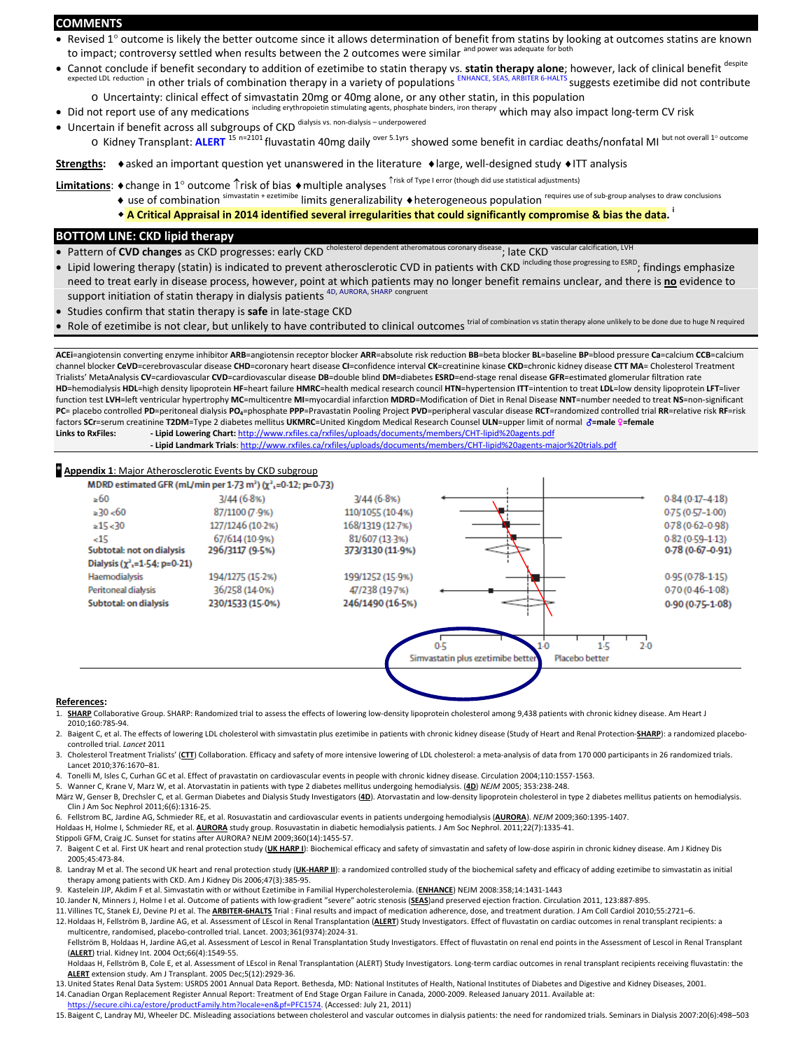#### **COMMENTS**

- Revised 1° outcome is likely the better outcome since it allows determination of benefit from statins by looking at outcomes statins are known to impact; controversy settled when results between the 2 outcomes were similar <sup>and power was adequate for both</sup>
- Cannot conclude if benefit secondary to addition of ezetimibe to statin therapy vs. **statin therapy alone**; however, lack of clinical benefit despite expected LDL reduction in other trials of combination therapy in a variety of populations ENHANCE, SEAS, ARBITER 6-HALTS suggests ezetimibe did not contribute
	- o Uncertainty: clinical effect of simvastatin 20mg or 40mg alone, or any other statin, in this population
- Did not report use of any medications including erythropoietin stimulating agents, phosphate binders, iron therapy which may also impact long‐term CV risk
- Uncertain if benefit across all subgroups of CKD dialysis vs. non-dialysis underpowered o Kidney Transplant: **ALERT** <sup>15</sup> n=2101 fluvastatin 40mg daily over 5.1yrs showed some benefit in cardiac deaths/nonfatal MI but not overall <sup>1</sup>° outcome

**Strengths:**  $\bullet$ asked an important question yet unanswered in the literature  $\bullet$  large, well-designed study  $\bullet$ ITT analysis

Limitations: ◆change in 1° outcome ↑risk of bias ◆multiple analyses ↑risk of Type I error (though did use statistical adjustments)

- ◆ use of combination simvastatin + ezetimibe limits generalizability ◆heterogeneous population requires use of sub‐group analyses to draw conclusions
- \* A Critical Appraisal in 2014 identified several irregularities that could significantly compromise & bias the data.

#### **BOTTOM LINE: CKD lipid therapy**

- Pattern of **CVD changes** as CKD progresses: early CKD <sup>cholesterol dependent atheromatous coronary disease<sub>;</sub> late CKD vascular calcification, LVH</sup>
- Lipid lowering therapy (statin) is indicated to prevent atherosclerotic CVD in patients with CKD including those progressing to ESRD; findings emphasize need to treat early in disease process, however, point at which patients may no longer benefit remains unclear, and there is **no** evidence to support initiation of statin therapy in dialysis patients <sup>4D, AURORA, SHARP congruent</sup>
- Studies confirm that statin therapy is **safe** in late‐stage CKD
- Role of ezetimibe is not clear, but unlikely to have contributed to clinical outcomes trial of combination vs statin therapy alone unlikely to be done due to huge N required

ACEi=angiotensin converting enzyme inhibitor ARB=angiotensin receptor blocker ARR=absolute risk reduction BB=beta blocker BL=baseline BP=blood pressure Ca=calcium CCB=calcium channel blocker **CeVD**=cerebrovascular disease **CHD**=coronary heart disease **CI**=confidence interval **CK**=creatinine kinase **CKD**=chronic kidney disease **CTT MA**= Cholesterol Treatment Trialists' MetaAnalysis **CV**=cardiovascular **CVD**=cardiovascular disease **DB**=double blind **DM**=diabetes **ESRD**=end‐stage renal disease **GFR**=estimated glomerular filtration rate HD=hemodialysis HDL=high density lipoprotein HF=heart failure HMRC=health medical research council HTN=hypertension ITT=intention to treat LDL=low density lipoprotein LFT=liver function test **LVH**=left ventricular hypertrophy **MC**=multicentre **MI**=myocardial infarction **MDRD**=Modification of Diet in Renal Disease **NNT**=number needed to treat **NS**=non‐significant PC= placebo controlled PD=peritoneal dialysis PO<sub>4</sub>=phosphate PPP=Pravastatin Pooling Project PVD=peripheral vascular disease RCT=randomized controlled trial RR=relative risk RF=risk factors SCr=serum creatinine T2DM=Type 2 diabetes mellitus UKMRC=United Kingdom Medical Research Counsel ULN=upper limit of normal  $\delta$ =male <sup>0</sup>=female **Links to RxFiles: ‐ Lipid Lowering Chart:** http://www.rxfiles.ca/rxfiles/uploads/documents/members/CHT‐lipid%20agents.pdf **‐ Lipid Landmark Trials**: http://www.rxfiles.ca/rxfiles/uploads/documents/members/CHT‐lipid%20agents‐major%20trials.pdf

#### **Appendix 1**: Major Atherosclerotic Events by CKD subgroup

MDRD estimated GFR (mL/min per 1-73 m<sup>2</sup>) ( $\chi^2$ <sub>1</sub>=0-12; p=0-73)

| $\geq 60$                                       | $3/44(6.8\%)$    | 3/44(6.8%)       |                                                     | $0.84(0.17 - 4.18)$ |
|-------------------------------------------------|------------------|------------------|-----------------------------------------------------|---------------------|
| $\geq 30 < 60$                                  | 87/1100 (7.9%)   | 110/1055 (10-4%) |                                                     | $0.75(0.57 - 1.00)$ |
| $= 15 - 30$                                     | 127/1246 (10-2%) | 168/1319 (12-7%) |                                                     | 0-78 (0-62-0-98)    |
| $-15$                                           | 67/614 (10-9%)   | 81/607 (13-3%)   |                                                     | $0.82(0.59 - 1.13)$ |
| Subtotal: not on dialysis                       | 296/3117 (9-5%)  | 373/3130 (11-9%) |                                                     | $0.78(0.67 - 0.91)$ |
| Dialysis ( $\chi^2$ <sub>1</sub> =1.54; p=0.21) |                  |                  |                                                     |                     |
| Haemodialysis                                   | 194/1275 (15-2%) | 199/1252 (15-9%) |                                                     | $0.95(0.78 - 1.15)$ |
| Peritoneal dialysis                             | 36/258 (14-0%)   | 47/238 (19-7%)   |                                                     | $0.70(0.46 - 1.08)$ |
| Subtotal: on dialysis                           | 230/1533 (15-0%) | 246/1490 (16-5%) |                                                     | $0.90(0.75-1.08)$   |
|                                                 |                  |                  |                                                     |                     |
|                                                 |                  |                  |                                                     |                     |
|                                                 |                  |                  | $1-5$<br>-0.5<br>1.0                                | $2-0$               |
|                                                 |                  |                  | Simvastatin plus ezetimibe better<br>Placebo better |                     |
|                                                 |                  |                  |                                                     |                     |
|                                                 |                  |                  |                                                     |                     |

#### **References:**

- 1. SHARP Collaborative Group. SHARP: Randomized trial to assess the effects of lowering low-density lipoprotein cholesterol among 9,438 patients with chronic kidney disease. Am Heart J 2010;160:785‐94.
- 2. Baigent C, et al. The effects of lowering LDL cholesterol with simvastatin plus ezetimibe in patients with chronic kidney disease (Study of Heart and Renal Protection‐**SHARP**): a randomized placebo‐ controlled trial. *Lancet* 2011
- 3. Cholesterol Treatment Trialists' (CTT) Collaboration. Efficacy and safety of more intensive lowering of LDL cholesterol: a meta-analysis of data from 170 000 participants in 26 randomized trials. Lancet 2010;376:1670–81.

4. Tonelli M, Isles C, Curhan GC et al. Effect of pravastatin on cardiovascular events in people with chronic kidney disease. Circulation 2004;110:1557‐1563.

5. Wanner C, Krane V, Marz W, et al. Atorvastatin in patients with type 2 diabetes mellitus undergoing hemodialysis. (**4D**) *NEJM* 2005; 353:238‐248.

März W, Genser B, Drechsler C, et al. German Diabetes and Dialysis Study Investigators (4D). Atorvastatin and low-density lipoprotein cholesterol in type 2 diabetes mellitus patients on hemodialysis. Clin J Am Soc Nephrol 2011;6(6):1316‐25.

6. Fellstrom BC, Jardine AG, Schmieder RE, et al. Rosuvastatin and cardiovascular events in patients undergoing hemodialysis (**AURORA**). *NEJM* 2009;360:1395‐1407.

Holdaas H, Holme I, Schmieder RE, et al. **AURORA** study group. Rosuvastatin in diabetic hemodialysis patients. J Am Soc Nephrol. 2011;22(7):1335‐41. Stippoli GFM, Craig JC. Sunset for statins after AURORA? NEJM 2009;360(14):1455‐57.

7. Baigent C et al. First UK heart and renal protection study (**UK HARP I**): Biochemical efficacy and safety of simvastatin and safety of low‐dose aspirin in chronic kidney disease. Am J Kidney Dis

2005;45:473‐84. 8. Landray M et al. The second UK heart and renal protection study (*UK*<sub>·</sub>**HARP** II): a randomized controlled study of the biochemical safety and efficacy of adding ezetimibe to simvastatin as initial

therapy among patients with CKD. Am J Kidney Dis 2006;47(3):385‐95.

9. Kastelein JJP, Akdim F et al. Simvastatin with or without Ezetimibe in Familial Hypercholesterolemia. (**ENHANCE**) NEJM 2008:358;14:1431‐1443

- 10.Jander N, Minners J, Holme I et al. Outcome of patients with low‐gradient "severe" aotric stenosis (**SEAS**)and preserved ejection fraction. Circulation 2011, 123:887‐895.
- 11.Villines TC, Stanek EJ, Devine PJ et al. The **ARBITER‐6HALTS** Trial : Final results and impact of medication adherence, dose, and treatment duration. J Am Coll Cardiol 2010;55:2721–6.
- 12.Holdaas H, Fellström B, Jardine AG, et al. Assessment of LEscol in Renal Transplantation (**ALERT**) Study Investigators. Effect of fluvastatin on cardiac outcomes in renal transplant recipients: a multicentre, randomised, placebo‐controlled trial. Lancet. 2003;361(9374):2024‐31.

Fellström B, Holdaas H, Jardine AG,et al. Assessment of Lescol in Renal Transplantation Study Investigators. Effect of fluvastatin on renal end points in the Assessment of Lescol in Renal Transplant (**ALERT**) trial. Kidney Int. 2004 Oct;66(4):1549‐55.

Holdaas H, Fellström B, Cole E, et al. Assessment of LEscol in Renal Transplantation (ALERT) Study Investigators. Long-term cardiac outcomes in renal transplant recipients receiving fluvastatin: the **ALERT** extension study. Am J Transplant. 2005 Dec;5(12):2929‐36.

13.United States Renal Data System: USRDS 2001 Annual Data Report. Bethesda, MD: National Institutes of Health, National Institutes of Diabetes and Digestive and Kidney Diseases, 2001.

14.Canadian Organ Replacement Register Annual Report: Treatment of End Stage Organ Failure in Canada, 2000‐2009. Released January 2011. Available at:

https://secure.cihi.ca/estore/productFamily.htm?locale=en&pf=PFC1574. (Accessed: July 21, 2011)

15.Baigent C, Landray MJ, Wheeler DC. Misleading associations between cholesterol and vascular outcomes in dialysis patients: the need for randomized trials. Seminars in Dialysis 2007:20(6):498–503